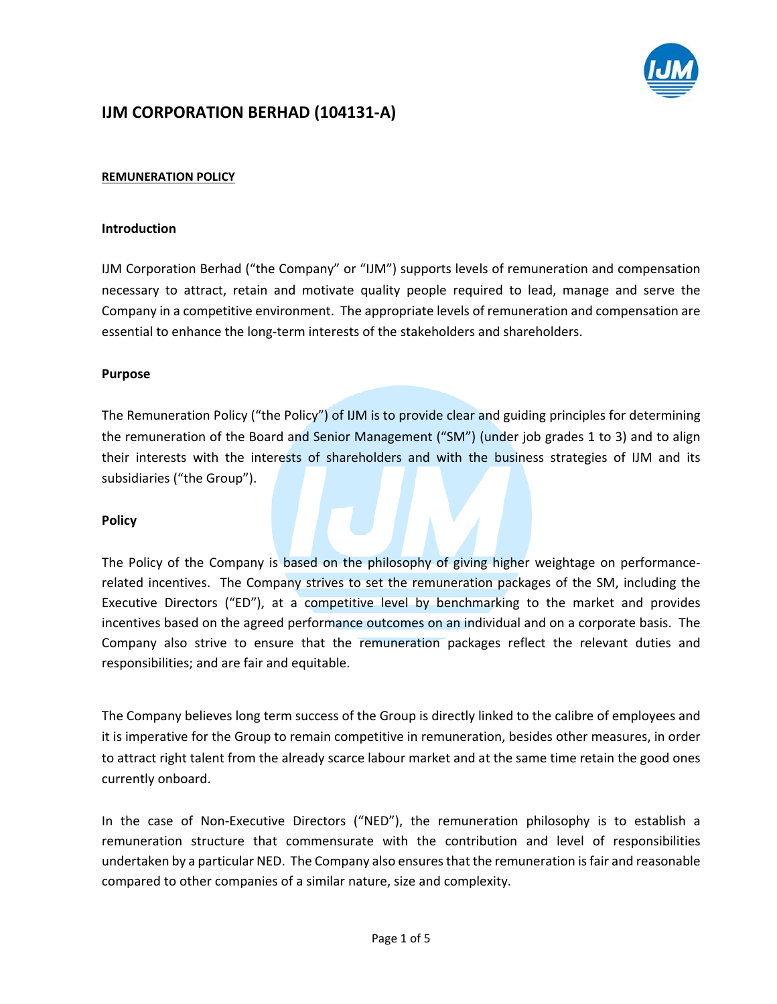

# **IJM CORPORATION BERHAD (104131‐A)**

## **REMUNERATION POLICY**

#### **Introduction**

IJM Corporation Berhad ("the Company" or "IJM") supports levels of remuneration and compensation necessary to attract, retain and motivate quality people required to lead, manage and serve the Company in a competitive environment. The appropriate levels of remuneration and compensation are essential to enhance the long-term interests of the stakeholders and shareholders.

## **Purpose**

The Remuneration Policy ("the Policy") of IJM is to provide clear and guiding principles for determining the remuneration of the Board and Senior Management ("SM") (under job grades 1 to 3) and to align their interests with the interests of shareholders and with the business strategies of IJM and its subsidiaries ("the Group").

## **Policy**

The Policy of the Company is based on the philosophy of giving higher weightage on performance‐ related incentives. The Company strives to set the remuneration packages of the SM, including the Executive Directors ("ED"), at a competitive level by benchmarking to the market and provides incentives based on the agreed performance outcomes on an individual and on a corporate basis. The Company also strive to ensure that the remuneration packages reflect the relevant duties and responsibilities; and are fair and equitable.

The Company believes long term success of the Group is directly linked to the calibre of employees and it is imperative for the Group to remain competitive in remuneration, besides other measures, in order to attract right talent from the already scarce labour market and at the same time retain the good ones currently onboard.

In the case of Non-Executive Directors ("NED"), the remuneration philosophy is to establish a remuneration structure that commensurate with the contribution and level of responsibilities undertaken by a particular NED. The Company also ensuresthat the remuneration isfair and reasonable compared to other companies of a similar nature, size and complexity.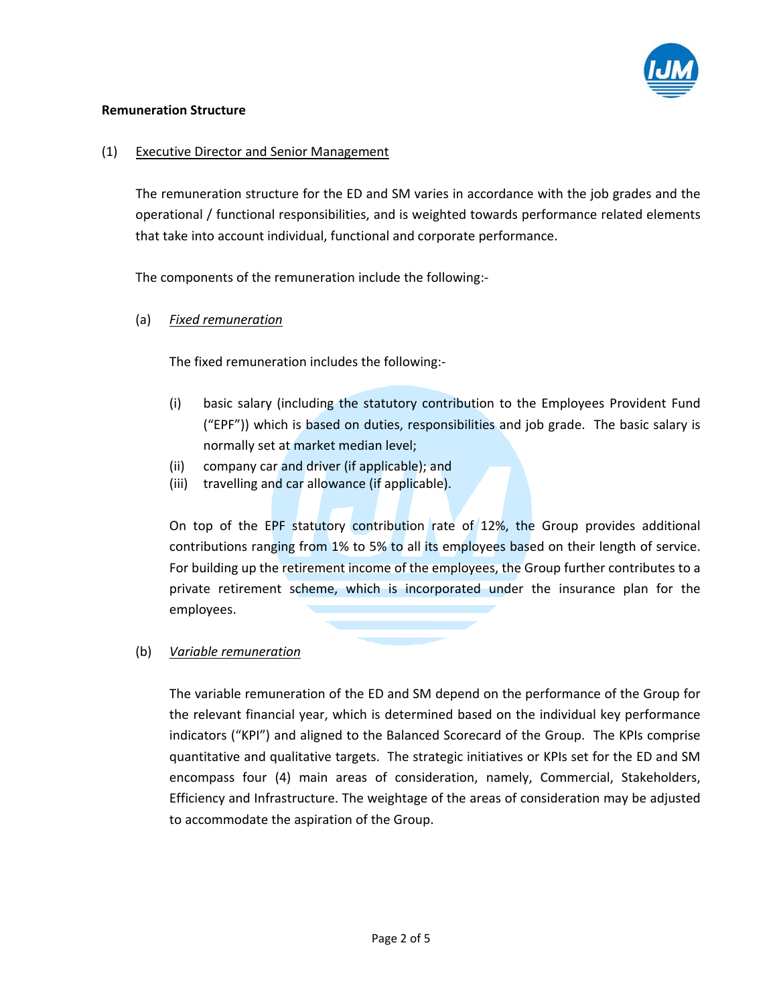

## **Remuneration Structure**

# (1) Executive Director and Senior Management

The remuneration structure for the ED and SM varies in accordance with the job grades and the operational / functional responsibilities, and is weighted towards performance related elements that take into account individual, functional and corporate performance.

The components of the remuneration include the following:‐

(a) *Fixed remuneration*

The fixed remuneration includes the following:‐

- (i) basic salary (including the statutory contribution to the Employees Provident Fund ("EPF")) which is based on duties, responsibilities and job grade. The basic salary is normally set at market median level;
- (ii) company car and driver (if applicable); and
- (iii) travelling and car allowance (if applicable).

On top of the EPF statutory contribution rate of 12%, the Group provides additional contributions ranging from 1% to 5% to all its employees based on their length of service. For building up the retirement income of the employees, the Group further contributes to a private retirement scheme, which is incorporated under the insurance plan for the employees.

## (b) *Variable remuneration*

The variable remuneration of the ED and SM depend on the performance of the Group for the relevant financial year, which is determined based on the individual key performance indicators ("KPI") and aligned to the Balanced Scorecard of the Group. The KPIs comprise quantitative and qualitative targets. The strategic initiatives or KPIs set for the ED and SM encompass four (4) main areas of consideration, namely, Commercial, Stakeholders, Efficiency and Infrastructure. The weightage of the areas of consideration may be adjusted to accommodate the aspiration of the Group.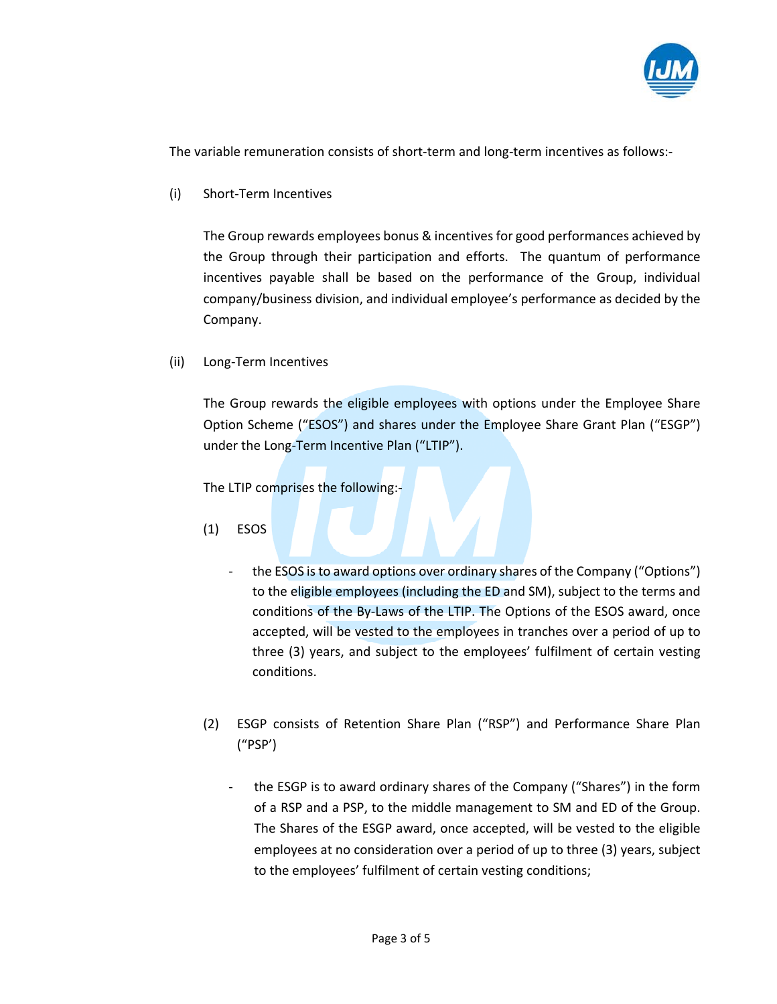

The variable remuneration consists of short‐term and long‐term incentives as follows:‐

(i) Short‐Term Incentives

The Group rewards employees bonus & incentives for good performances achieved by the Group through their participation and efforts. The quantum of performance incentives payable shall be based on the performance of the Group, individual company/business division, and individual employee's performance as decided by the Company.

(ii) Long‐Term Incentives

The Group rewards the eligible employees with options under the Employee Share Option Scheme ("ESOS") and shares under the Employee Share Grant Plan ("ESGP") under the Long‐Term Incentive Plan ("LTIP").

The LTIP comprises the following:‐

- (1) ESOS
	- the ESOS is to award options over ordinary shares of the Company ("Options") to the eligible employees (including the ED and SM), subject to the terms and conditions of the By‐Laws of the LTIP. The Options of the ESOS award, once accepted, will be vested to the employees in tranches over a period of up to three (3) years, and subject to the employees' fulfilment of certain vesting conditions.
- (2) ESGP consists of Retention Share Plan ("RSP") and Performance Share Plan ("PSP')
	- the ESGP is to award ordinary shares of the Company ("Shares") in the form of a RSP and a PSP, to the middle management to SM and ED of the Group. The Shares of the ESGP award, once accepted, will be vested to the eligible employees at no consideration over a period of up to three (3) years, subject to the employees' fulfilment of certain vesting conditions;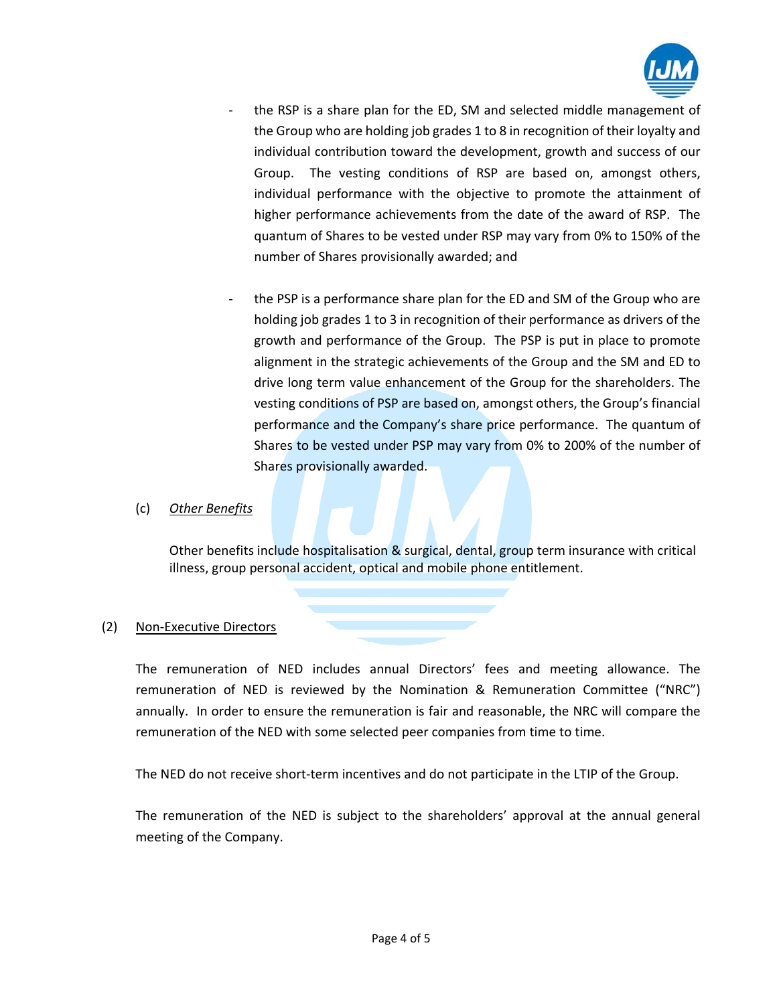

- the RSP is a share plan for the ED, SM and selected middle management of the Group who are holding job grades 1 to 8 in recognition of their loyalty and individual contribution toward the development, growth and success of our Group. The vesting conditions of RSP are based on, amongst others, individual performance with the objective to promote the attainment of higher performance achievements from the date of the award of RSP. The quantum of Shares to be vested under RSP may vary from 0% to 150% of the number of Shares provisionally awarded; and
- the PSP is a performance share plan for the ED and SM of the Group who are holding job grades 1 to 3 in recognition of their performance as drivers of the growth and performance of the Group. The PSP is put in place to promote alignment in the strategic achievements of the Group and the SM and ED to drive long term value enhancement of the Group for the shareholders. The vesting conditions of PSP are based on, amongst others, the Group's financial performance and the Company's share price performance. The quantum of Shares to be vested under PSP may vary from 0% to 200% of the number of Shares provisionally awarded.

# (c) *Other Benefits*

Other benefits include hospitalisation & surgical, dental, group term insurance with critical illness, group personal accident, optical and mobile phone entitlement.

# (2) Non‐Executive Directors

The remuneration of NED includes annual Directors' fees and meeting allowance. The remuneration of NED is reviewed by the Nomination & Remuneration Committee ("NRC") annually. In order to ensure the remuneration is fair and reasonable, the NRC will compare the remuneration of the NED with some selected peer companies from time to time.

The NED do not receive short-term incentives and do not participate in the LTIP of the Group.

The remuneration of the NED is subject to the shareholders' approval at the annual general meeting of the Company.